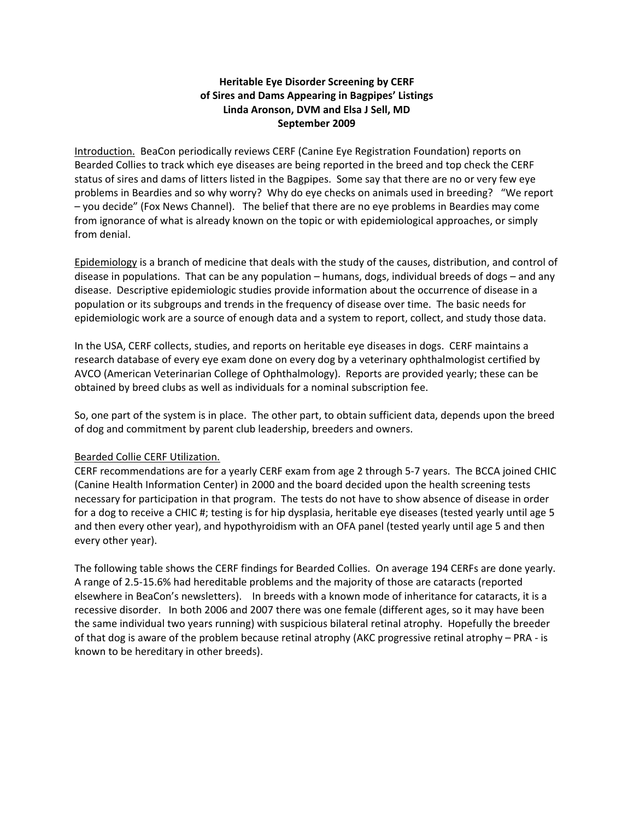# **Heritable Eye Disorder Screening by CERF of Sires and Dams Appearing in Bagpipes' Listings Linda Aronson, DVM and Elsa J Sell, MD September 2009**

Introduction. BeaCon periodically reviews CERF (Canine Eye Registration Foundation) reports on Bearded Collies to track which eye diseases are being reported in the breed and top check the CERF status of sires and dams of litters listed in the Bagpipes. Some say that there are no or very few eye problems in Beardies and so why worry? Why do eye checks on animals used in breeding? "We report – you decide" (Fox News Channel). The belief that there are no eye problems in Beardies may come from ignorance of what is already known on the topic or with epidemiological approaches, or simply from denial.

Epidemiology is a branch of medicine that deals with the study of the causes, distribution, and control of disease in populations. That can be any population – humans, dogs, individual breeds of dogs – and any disease. Descriptive epidemiologic studies provide information about the occurrence of disease in a population or its subgroups and trends in the frequency of disease over time. The basic needs for epidemiologic work are a source of enough data and a system to report, collect, and study those data.

In the USA, CERF collects, studies, and reports on heritable eye diseases in dogs. CERF maintains a research database of every eye exam done on every dog by a veterinary ophthalmologist certified by AVCO (American Veterinarian College of Ophthalmology). Reports are provided yearly; these can be obtained by breed clubs as well as individuals for a nominal subscription fee.

So, one part of the system is in place. The other part, to obtain sufficient data, depends upon the breed of dog and commitment by parent club leadership, breeders and owners.

## Bearded Collie CERF Utilization.

CERF recommendations are for a yearly CERF exam from age 2 through 5‐7 years. The BCCA joined CHIC (Canine Health Information Center) in 2000 and the board decided upon the health screening tests necessary for participation in that program. The tests do not have to show absence of disease in order for a dog to receive a CHIC #; testing is for hip dysplasia, heritable eye diseases (tested yearly until age 5 and then every other year), and hypothyroidism with an OFA panel (tested yearly until age 5 and then every other year).

The following table shows the CERF findings for Bearded Collies. On average 194 CERFs are done yearly. A range of 2.5‐15.6% had hereditable problems and the majority of those are cataracts (reported elsewhere in BeaCon's newsletters). In breeds with a known mode of inheritance for cataracts, it is a recessive disorder. In both 2006 and 2007 there was one female (different ages, so it may have been the same individual two years running) with suspicious bilateral retinal atrophy. Hopefully the breeder of that dog is aware of the problem because retinal atrophy (AKC progressive retinal atrophy – PRA ‐ is known to be hereditary in other breeds).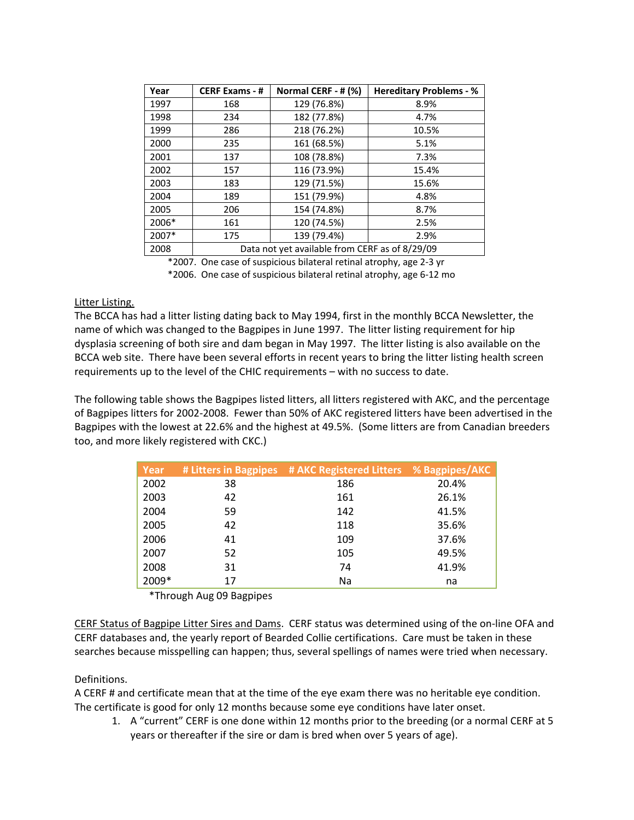| Year  | <b>CERF Exams - #</b>                          | Normal CERF - # (%) | <b>Hereditary Problems - %</b> |  |  |  |
|-------|------------------------------------------------|---------------------|--------------------------------|--|--|--|
| 1997  | 168                                            | 129 (76.8%)         | 8.9%                           |  |  |  |
| 1998  | 234                                            | 182 (77.8%)         | 4.7%                           |  |  |  |
| 1999  | 286                                            | 218 (76.2%)         | 10.5%                          |  |  |  |
| 2000  | 235                                            | 161 (68.5%)         | 5.1%                           |  |  |  |
| 2001  | 137                                            | 108 (78.8%)         | 7.3%                           |  |  |  |
| 2002  | 157                                            | 116 (73.9%)         | 15.4%                          |  |  |  |
| 2003  | 183                                            | 129 (71.5%)         | 15.6%                          |  |  |  |
| 2004  | 189                                            | 151 (79.9%)         | 4.8%                           |  |  |  |
| 2005  | 206                                            | 154 (74.8%)         | 8.7%                           |  |  |  |
| 2006* | 161                                            | 120 (74.5%)         | 2.5%                           |  |  |  |
| 2007* | 175                                            | 139 (79.4%)         | 2.9%                           |  |  |  |
| 2008  | Data not yet available from CERF as of 8/29/09 |                     |                                |  |  |  |

\*2007. One case of suspicious bilateral retinal atrophy, age 2‐3 yr

\*2006. One case of suspicious bilateral retinal atrophy, age 6‐12 mo

#### Litter Listing.

The BCCA has had a litter listing dating back to May 1994, first in the monthly BCCA Newsletter, the name of which was changed to the Bagpipes in June 1997. The litter listing requirement for hip dysplasia screening of both sire and dam began in May 1997. The litter listing is also available on the BCCA web site. There have been several efforts in recent years to bring the litter listing health screen requirements up to the level of the CHIC requirements – with no success to date.

The following table shows the Bagpipes listed litters, all litters registered with AKC, and the percentage of Bagpipes litters for 2002‐2008. Fewer than 50% of AKC registered litters have been advertised in the Bagpipes with the lowest at 22.6% and the highest at 49.5%. (Some litters are from Canadian breeders too, and more likely registered with CKC.)

| Year  |    | # Litters in Bagpipes # AKC Registered Litters % Bagpipes/AKC |       |
|-------|----|---------------------------------------------------------------|-------|
| 2002  | 38 | 186                                                           | 20.4% |
| 2003  | 42 | 161                                                           | 26.1% |
| 2004  | 59 | 142                                                           | 41.5% |
| 2005  | 42 | 118                                                           | 35.6% |
| 2006  | 41 | 109                                                           | 37.6% |
| 2007  | 52 | 105                                                           | 49.5% |
| 2008  | 31 | 74                                                            | 41.9% |
| 2009* | 17 | Na                                                            | na    |

\*Through Aug 09 Bagpipes

CERF Status of Bagpipe Litter Sires and Dams. CERF status was determined using of the on‐line OFA and CERF databases and, the yearly report of Bearded Collie certifications. Care must be taken in these searches because misspelling can happen; thus, several spellings of names were tried when necessary.

## Definitions.

A CERF # and certificate mean that at the time of the eye exam there was no heritable eye condition. The certificate is good for only 12 months because some eye conditions have later onset.

1. A "current" CERF is one done within 12 months prior to the breeding (or a normal CERF at 5 years or thereafter if the sire or dam is bred when over 5 years of age).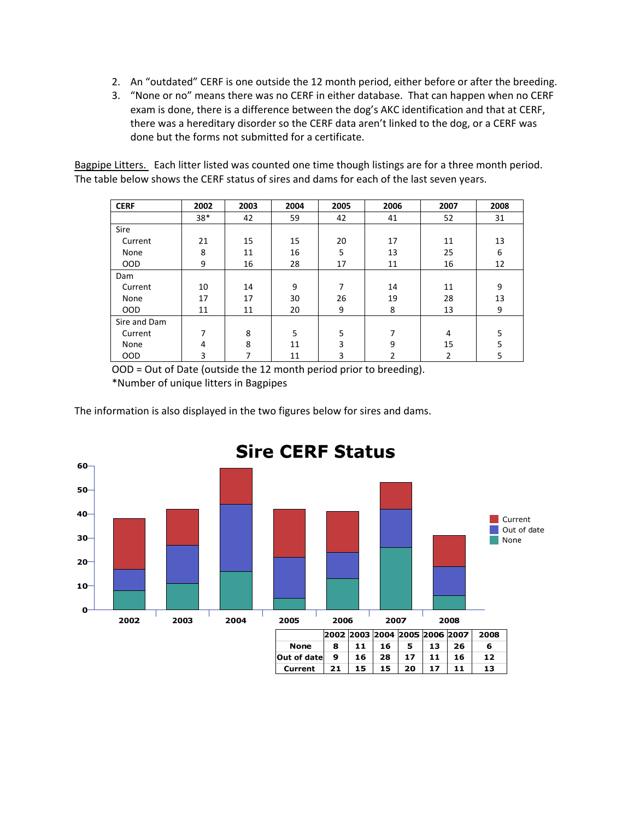- 2. An "outdated" CERF is one outside the 12 month period, either before or after the breeding.
- 3. "None or no" means there was no CERF in either database. That can happen when no CERF exam is done, there is a difference between the dog's AKC identification and that at CERF, there was a hereditary disorder so the CERF data aren't linked to the dog, or a CERF was done but the forms not submitted for a certificate.

Bagpipe Litters. Each litter listed was counted one time though listings are for a three month period. The table below shows the CERF status of sires and dams for each of the last seven years.

| <b>CERF</b>  | 2002 | 2003 | 2004 | 2005 | 2006           | 2007 | 2008 |
|--------------|------|------|------|------|----------------|------|------|
|              | 38*  | 42   | 59   | 42   | 41             | 52   | 31   |
| Sire         |      |      |      |      |                |      |      |
| Current      | 21   | 15   | 15   | 20   | 17             | 11   | 13   |
| None         | 8    | 11   | 16   | 5    | 13             | 25   | 6    |
| <b>OOD</b>   | 9    | 16   | 28   | 17   | 11             | 16   | 12   |
| Dam          |      |      |      |      |                |      |      |
| Current      | 10   | 14   | 9    | 7    | 14             | 11   | 9    |
| None         | 17   | 17   | 30   | 26   | 19             | 28   | 13   |
| <b>OOD</b>   | 11   | 11   | 20   | 9    | 8              | 13   | 9    |
| Sire and Dam |      |      |      |      |                |      |      |
| Current      | 7    | 8    | 5    | 5    | 7              | 4    | 5    |
| None         | 4    | 8    | 11   | 3    | 9              | 15   | 5    |
| <b>OOD</b>   | 3    | 7    | 11   | 3    | $\overline{2}$ | 2    | 5    |

OOD = Out of Date (outside the 12 month period prior to breeding). \*Number of unique litters in Bagpipes

The information is also displayed in the two figures below for sires and dams.



# **Sire CERF Status**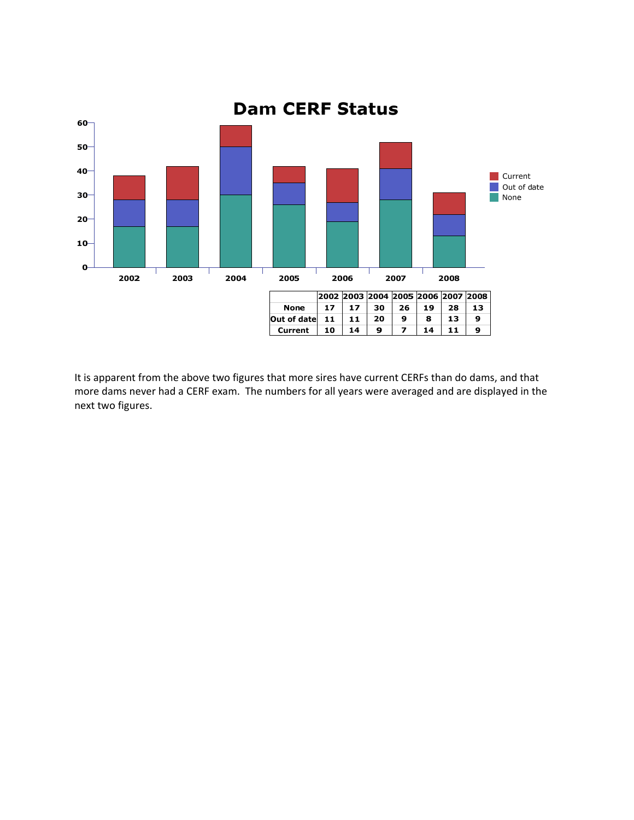

It is apparent from the above two figures that more sires have current CERFs than do dams, and that more dams never had a CERF exam. The numbers for all years were averaged and are displayed in the next two figures.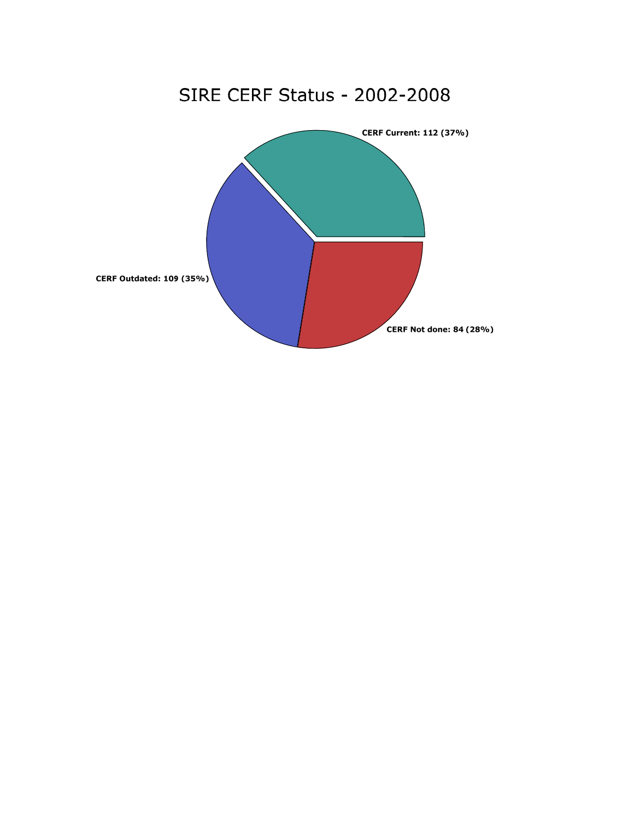